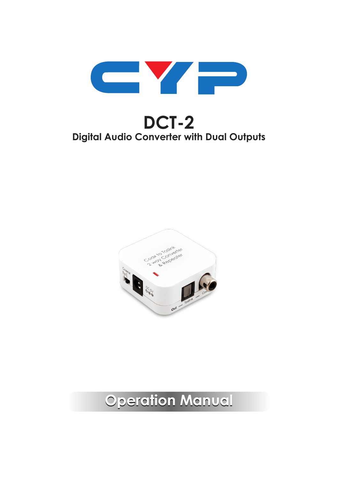

# **DCT-2 Digital Audio Converter with Dual Outputs**



# **Operation Manual**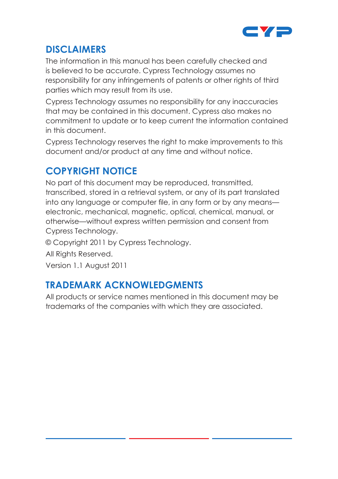

#### **DISCLAIMERS**

The information in this manual has been carefully checked and is believed to be accurate. Cypress Technology assumes no responsibility for any infringements of patents or other rights of third parties which may result from its use.

Cypress Technology assumes no responsibility for any inaccuracies that may be contained in this document. Cypress also makes no commitment to update or to keep current the information contained in this document.

Cypress Technology reserves the right to make improvements to this document and/or product at any time and without notice.

#### **COPYRIGHT NOTICE**

No part of this document may be reproduced, transmitted, transcribed, stored in a retrieval system, or any of its part translated into any language or computer file, in any form or by any means electronic, mechanical, magnetic, optical, chemical, manual, or otherwise—without express written permission and consent from Cypress Technology.

© Copyright 2011 by Cypress Technology.

All Rights Reserved.

Version 1.1 August 2011

#### **TRADEMARK ACKNOWLEDGMENTS**

All products or service names mentioned in this document may be trademarks of the companies with which they are associated.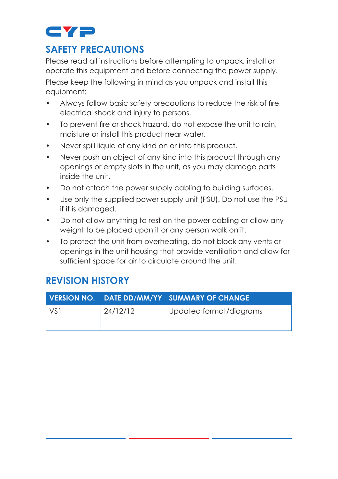

#### **SAFETY PRECAUTIONS**

Please read all instructions before attempting to unpack, install or operate this equipment and before connecting the power supply. Please keep the following in mind as you unpack and install this equipment:

- Always follow basic safety precautions to reduce the risk of fire, electrical shock and injury to persons.
- To prevent fire or shock hazard, do not expose the unit to rain, moisture or install this product near water.
- Never spill liquid of any kind on or into this product.
- Never push an object of any kind into this product through any openings or empty slots in the unit, as you may damage parts inside the unit.
- Do not attach the power supply cabling to building surfaces.
- Use only the supplied power supply unit (PSU). Do not use the PSU if it is damaged.
- Do not allow anything to rest on the power cabling or allow any weight to be placed upon it or any person walk on it.
- To protect the unit from overheating, do not block any vents or openings in the unit housing that provide ventilation and allow for sufficient space for air to circulate around the unit.

#### **REVISION HISTORY**

|                 |          | VERSION NO. DATE DD/MM/YY SUMMARY OF CHANGE |
|-----------------|----------|---------------------------------------------|
| VS <sub>1</sub> | 24/12/12 | Updated format/diagrams                     |
|                 |          |                                             |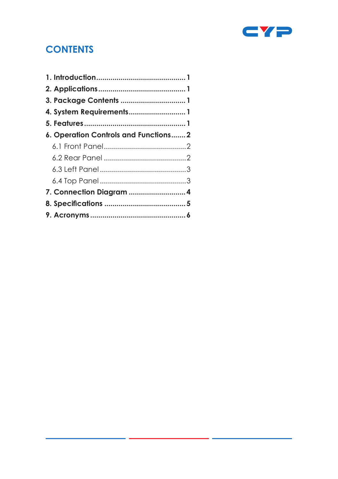

### **CONTENTS**

| 4. System Requirements 1              |
|---------------------------------------|
|                                       |
| 6. Operation Controls and Functions 2 |
|                                       |
|                                       |
|                                       |
|                                       |
|                                       |
|                                       |
|                                       |
|                                       |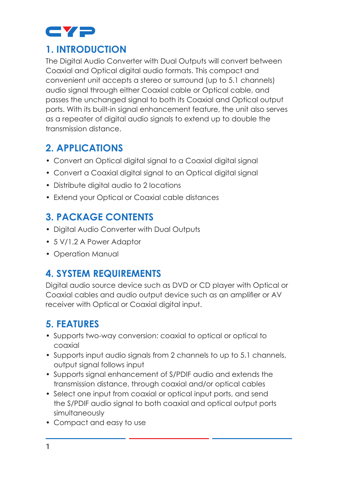

#### **1. INTRODUCTION**

The Digital Audio Converter with Dual Outputs will convert between Coaxial and Optical digital audio formats. This compact and convenient unit accepts a stereo or surround (up to 5.1 channels) audio signal through either Coaxial cable or Optical cable, and passes the unchanged signal to both its Coaxial and Optical output ports. With its built-in signal enhancement feature, the unit also serves as a repeater of digital audio signals to extend up to double the transmission distance.

#### **2. APPLICATIONS**

- Convert an Optical digital signal to a Coaxial digital signal
- Convert a Coaxial digital signal to an Optical digital signal
- Distribute digital audio to 2 locations
- Extend your Optical or Coaxial cable distances

#### **3. PACKAGE CONTENTS**

- Digital Audio Converter with Dual Outputs
- 5 V/1.2 A Power Adaptor
- Operation Manual

#### **4. SYSTEM REQUIREMENTS**

Digital audio source device such as DVD or CD player with Optical or Coaxial cables and audio output device such as an amplifier or AV receiver with Optical or Coaxial digital input.

## **5. FEATURES**

- Supports two-way conversion: coaxial to optical or optical to coaxial
- Supports input audio signals from 2 channels to up to 5.1 channels, output signal follows input
- Supports signal enhancement of S/PDIF audio and extends the transmission distance, through coaxial and/or optical cables
- Select one input from coaxial or optical input ports, and send the S/PDIF audio signal to both coaxial and optical output ports simultaneously
- Compact and easy to use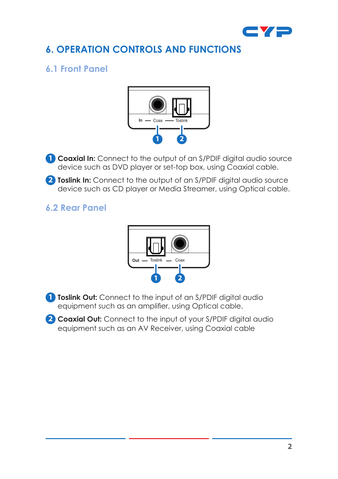

#### **6. OPERATION CONTROLS AND FUNCTIONS**

#### **6.1 Front Panel**



**1 Coaxial In:** Connect to the output of an S/PDIF digital audio source device such as DVD player or set-top box, using Coaxial cable.

**2 Toslink In:** Connect to the output of an S/PDIF digital audio source device such as CD player or Media Streamer, using Optical cable.

#### **6.2 Rear Panel**



**1 Toslink Out:** Connect to the input of an S/PDIF digital audio equipment such as an amplifier, using Optical cable.

**2 Coaxial Out:** Connect to the input of your S/PDIF digital audio equipment such as an AV Receiver, using Coaxial cable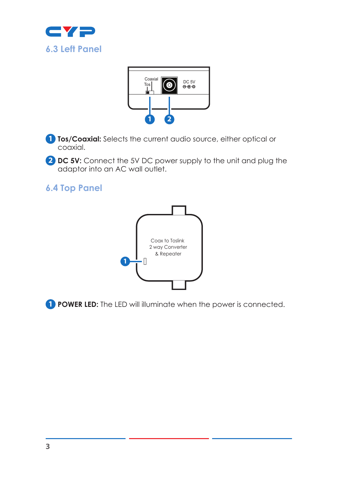



**1 Tos/Coaxial:** Selects the current audio source, either optical or coaxial.

**2 DC 5V:** Connect the 5V DC power supply to the unit and plug the adaptor into an AC wall outlet.

**6.4 Top Panel**



**1 POWER LED:** The LED will illuminate when the power is connected.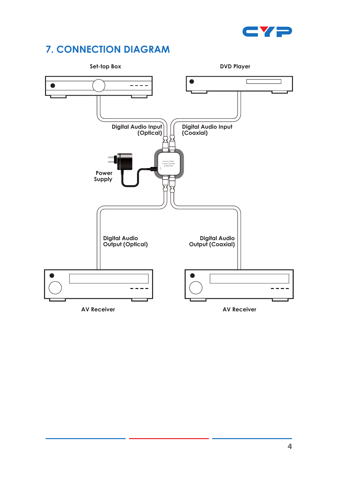

## **7. CONNECTION DIAGRAM**

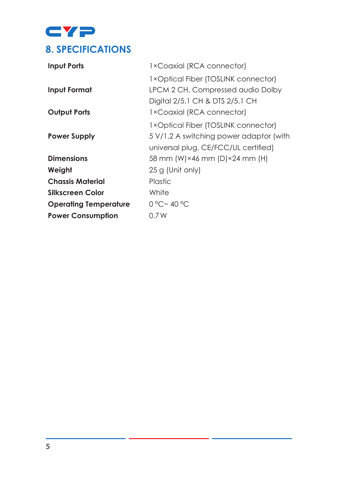CYP **8. SPECIFICATIONS**

| <b>Input Ports</b>           | 1×Coaxial (RCA connector)               |
|------------------------------|-----------------------------------------|
|                              | 1×Optical Fiber (TOSLINK connector)     |
| Input Format                 | LPCM 2 CH, Compressed audio Dolby       |
|                              | Digital 2/5.1 CH & DTS 2/5.1 CH         |
| <b>Output Ports</b>          | 1×Coaxial (RCA connector)               |
|                              | 1×Optical Fiber (TOSLINK connector)     |
| <b>Power Supply</b>          | 5 V/1.2 A switching power adaptor (with |
|                              | universal plug, CE/FCC/UL certified)    |
| <b>Dimensions</b>            | 58 mm (W)×46 mm (D)×24 mm (H)           |
| Weight                       | 25 g (Unit only)                        |
| <b>Chassis Material</b>      | <b>Plastic</b>                          |
| Silkscreen Color             | White                                   |
| <b>Operating Temperature</b> | 0 °C ~ 40 °C                            |
| <b>Power Consumption</b>     | 0.7W                                    |
|                              |                                         |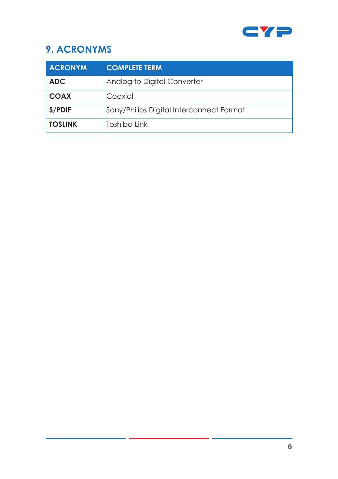

## **9. ACRONYMS**

| <b>ACRONYM</b> | <b>COMPLETE TERM</b>                     |
|----------------|------------------------------------------|
| <b>ADC</b>     | Analog to Digital Converter              |
| <b>COAX</b>    | Coaxial                                  |
| S/PDIF         | Sony/Philips Digital Interconnect Format |
| <b>TOSLINK</b> | Toshiba Link                             |